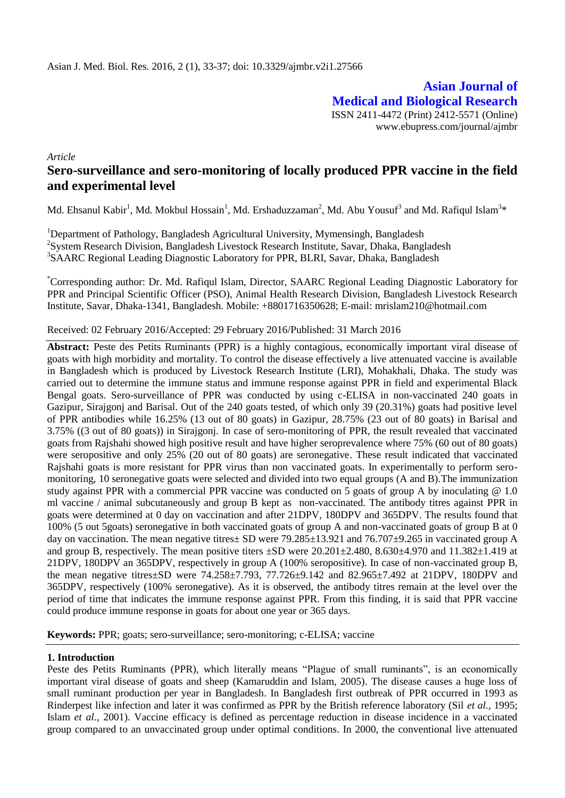**Asian Journal of Medical and Biological Research** ISSN 2411-4472 (Print) 2412-5571 (Online) www.ebupress.com/journal/ajmbr

*Article*

# **Sero-surveillance and sero-monitoring of locally produced PPR vaccine in the field and experimental level**

Md. Ehsanul Kabir<sup>1</sup>, Md. Mokbul Hossain<sup>1</sup>, Md. Ershaduzzaman<sup>2</sup>, Md. Abu Yousuf<sup>3</sup> and Md. Rafiqul Islam<sup>3</sup>\*

<sup>1</sup>Department of Pathology, Bangladesh Agricultural University, Mymensingh, Bangladesh <sup>2</sup>System Research Division, Bangladesh Livestock Research Institute, Savar, Dhaka, Bangladesh <sup>3</sup>SAARC Regional Leading Diagnostic Laboratory for PPR, BLRI, Savar, Dhaka, Bangladesh

\*Corresponding author: Dr. Md. Rafiqul Islam, Director, SAARC Regional Leading Diagnostic Laboratory for PPR and Principal Scientific Officer (PSO), Animal Health Research Division, Bangladesh Livestock Research Institute, Savar, Dhaka-1341*,* Bangladesh. Mobile: +8801716350628; E-mail: [mrislam210@hotmail.com](mailto:mrislam210@hotmail.com)

Received: 02 February 2016/Accepted: 29 February 2016/Published: 31 March 2016

**Abstract:** Peste des Petits Ruminants (PPR) is a highly contagious, economically important viral disease of goats with high morbidity and mortality. To control the disease effectively a live attenuated vaccine is available in Bangladesh which is produced by Livestock Research Institute (LRI), Mohakhali, Dhaka. The study was carried out to determine the immune status and immune response against PPR in field and experimental Black Bengal goats. Sero-surveillance of PPR was conducted by using c-ELISA in non-vaccinated 240 goats in Gazipur, Sirajgonj and Barisal. Out of the 240 goats tested, of which only 39 (20.31%) goats had positive level of PPR antibodies while 16.25% (13 out of 80 goats) in Gazipur, 28.75% (23 out of 80 goats) in Barisal and 3.75% ((3 out of 80 goats)) in Sirajgonj. In case of sero-monitoring of PPR, the result revealed that vaccinated goats from Rajshahi showed high positive result and have higher seroprevalence where 75% (60 out of 80 goats) were seropositive and only 25% (20 out of 80 goats) are seronegative. These result indicated that vaccinated Rajshahi goats is more resistant for PPR virus than non vaccinated goats. In experimentally to perform seromonitoring, 10 seronegative goats were selected and divided into two equal groups (A and B).The immunization study against PPR with a commercial PPR vaccine was conducted on 5 goats of group A by inoculating @ 1.0 ml vaccine / animal subcutaneously and group B kept as non-vaccinated. The antibody titres against PPR in goats were determined at 0 day on vaccination and after 21DPV, 180DPV and 365DPV. The results found that 100% (5 out 5goats) seronegative in both vaccinated goats of group A and non-vaccinated goats of group B at 0 day on vaccination. The mean negative titres  $\pm$  SD were 79.285 $\pm$ 13.921 and 76.707 $\pm$ 9.265 in vaccinated group A and group B, respectively. The mean positive titers  $\pm SD$  were  $20.201\pm 2.480$ ,  $8.630\pm 4.970$  and  $11.382\pm 1.419$  at 21DPV, 180DPV an 365DPV, respectively in group A (100% seropositive). In case of non-vaccinated group B, the mean negative titres±SD were 74.258±7.793, 77.726±9.142 and 82.965±7.492 at 21DPV, 180DPV and 365DPV, respectively (100% seronegative). As it is observed, the antibody titres remain at the level over the period of time that indicates the immune response against PPR. From this finding, it is said that PPR vaccine could produce immune response in goats for about one year or 365 days.

**Keywords:** PPR; goats; sero-surveillance; sero-monitoring; c-ELISA; vaccine

## **1. Introduction**

Peste des Petits Ruminants (PPR), which literally means "Plague of small ruminants", is an economically important viral disease of goats and sheep (Kamaruddin and Islam, 2005). The disease causes a huge loss of small ruminant production per year in Bangladesh. In Bangladesh first outbreak of PPR occurred in 1993 as Rinderpest like infection and later it was confirmed as PPR by the British reference laboratory (Sil *et al.,* 1995; Islam *et al.,* 2001). Vaccine efficacy is defined as percentage reduction in disease incidence in a vaccinated group compared to an unvaccinated group under optimal conditions. In 2000, the conventional live attenuated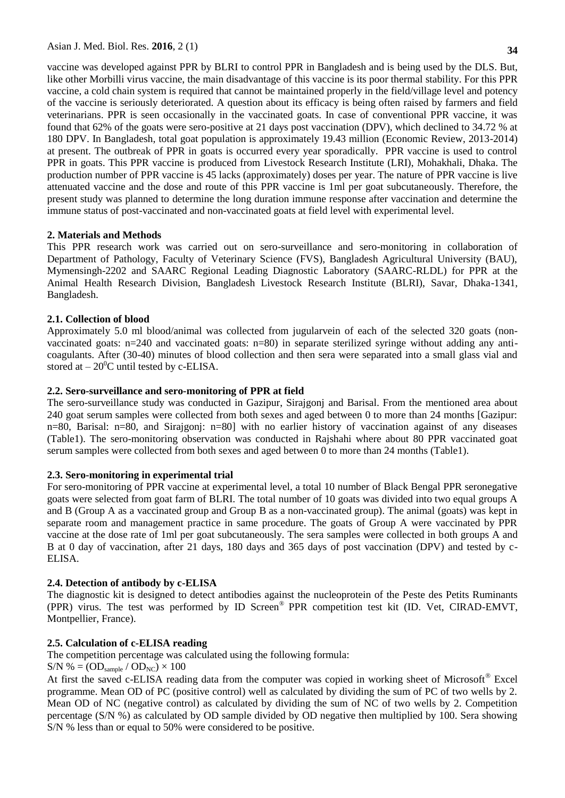vaccine was developed against PPR by BLRI to control PPR in Bangladesh and is being used by the DLS. But, like other Morbilli virus vaccine, the main disadvantage of this vaccine is its poor thermal stability. For this PPR vaccine, a cold chain system is required that cannot be maintained properly in the field/village level and potency of the vaccine is seriously deteriorated. A question about its efficacy is being often raised by farmers and field veterinarians. PPR is seen occasionally in the vaccinated goats. In case of conventional PPR vaccine, it was found that 62% of the goats were sero-positive at 21 days post vaccination (DPV), which declined to 34.72 % at 180 DPV. In Bangladesh, total goat population is approximately 19.43 million (Economic Review, 2013-2014) at present. The outbreak of PPR in goats is occurred every year sporadically. PPR vaccine is used to control PPR in goats. This PPR vaccine is produced from Livestock Research Institute (LRI), Mohakhali, Dhaka. The production number of PPR vaccine is 45 lacks (approximately) doses per year. The nature of PPR vaccine is live attenuated vaccine and the dose and route of this PPR vaccine is 1ml per goat subcutaneously. Therefore, the present study was planned to determine the long duration immune response after vaccination and determine the immune status of post-vaccinated and non-vaccinated goats at field level with experimental level.

## **2. Materials and Methods**

This PPR research work was carried out on sero-surveillance and sero-monitoring in collaboration of Department of Pathology, Faculty of Veterinary Science (FVS), Bangladesh Agricultural University (BAU), Mymensingh-2202 and SAARC Regional Leading Diagnostic Laboratory (SAARC-RLDL) for PPR at the Animal Health Research Division, Bangladesh Livestock Research Institute (BLRI), Savar, Dhaka-1341, Bangladesh.

## **2.1. Collection of blood**

Approximately 5.0 ml blood/animal was collected from jugularvein of each of the selected 320 goats (nonvaccinated goats: n=240 and vaccinated goats: n=80) in separate sterilized syringe without adding any anticoagulants. After (30-40) minutes of blood collection and then sera were separated into a small glass vial and stored at  $-20^{\circ}$ C until tested by c-ELISA.

## **2.2. Sero-surveillance and sero-monitoring of PPR at field**

The sero-surveillance study was conducted in Gazipur, Sirajgonj and Barisal. From the mentioned area about 240 goat serum samples were collected from both sexes and aged between 0 to more than 24 months [Gazipur: n=80, Barisal: n=80, and Sirajgonj: n=80] with no earlier history of vaccination against of any diseases (Table1). The sero-monitoring observation was conducted in Rajshahi where about 80 PPR vaccinated goat serum samples were collected from both sexes and aged between 0 to more than 24 months (Table1).

## **2.3. Sero-monitoring in experimental trial**

For sero-monitoring of PPR vaccine at experimental level, a total 10 number of Black Bengal PPR seronegative goats were selected from goat farm of BLRI. The total number of 10 goats was divided into two equal groups A and B (Group A as a vaccinated group and Group B as a non-vaccinated group). The animal (goats) was kept in separate room and management practice in same procedure. The goats of Group A were vaccinated by PPR vaccine at the dose rate of 1ml per goat subcutaneously. The sera samples were collected in both groups A and B at 0 day of vaccination, after 21 days, 180 days and 365 days of post vaccination (DPV) and tested by c-ELISA.

## **2.4. Detection of antibody by c-ELISA**

The diagnostic kit is designed to detect antibodies against the nucleoprotein of the Peste des Petits Ruminants (PPR) virus. The test was performed by ID Screen® PPR competition test kit (ID. Vet, CIRAD-EMVT, Montpellier, France).

## **2.5. Calculation of c-ELISA reading**

The competition percentage was calculated using the following formula:

 $S/N$  % =  $OD<sub>sample</sub> / OD<sub>NC</sub>$ ) × 100

At first the saved c-ELISA reading data from the computer was copied in working sheet of Microsoft<sup>®</sup> Excel programme. Mean OD of PC (positive control) well as calculated by dividing the sum of PC of two wells by 2. Mean OD of NC (negative control) as calculated by dividing the sum of NC of two wells by 2. Competition percentage (S/N %) as calculated by OD sample divided by OD negative then multiplied by 100. Sera showing S/N % less than or equal to 50% were considered to be positive.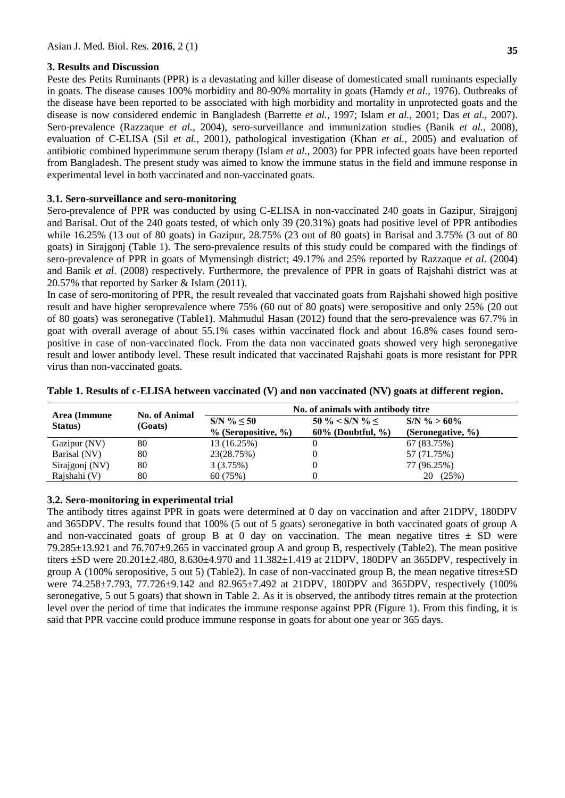## **3. Results and Discussion**

Peste des Petits Ruminants (PPR) is a devastating and killer disease of domesticated small ruminants especially in goats. The disease causes 100% morbidity and 80-90% mortality in goats (Hamdy *et al.,* 1976). Outbreaks of the disease have been reported to be associated with high morbidity and mortality in unprotected goats and the disease is now considered endemic in Bangladesh (Barrette *et al.,* 1997; Islam *et al.,* 2001; Das *et al.,* 2007). Sero-prevalence (Razzaque *et al.,* 2004), sero-surveillance and immunization studies (Banik *et al.,* 2008), evaluation of C-ELISA (Sil *et al.,* 2001), pathological investigation (Khan *et al.,* 2005) and evaluation of antibiotic combined hyperimmune serum therapy (Islam *et al.,* 2003) for PPR infected goats have been reported from Bangladesh. The present study was aimed to know the immune status in the field and immune response in experimental level in both vaccinated and non-vaccinated goats.

#### **3.1. Sero-surveillance and sero-monitoring**

Sero-prevalence of PPR was conducted by using C-ELISA in non-vaccinated 240 goats in Gazipur, Sirajgonj and Barisal. Out of the 240 goats tested, of which only 39 (20.31%) goats had positive level of PPR antibodies while 16.25% (13 out of 80 goats) in Gazipur, 28.75% (23 out of 80 goats) in Barisal and 3.75% (3 out of 80 goats) in Sirajgonj (Table 1). The sero-prevalence results of this study could be compared with the findings of sero-prevalence of PPR in goats of Mymensingh district; 49.17% and 25% reported by Razzaque *et al*. (2004) and Banik *et al*. (2008) respectively. Furthermore, the prevalence of PPR in goats of Rajshahi district was at 20.57% that reported by Sarker & Islam (2011).

In case of sero-monitoring of PPR, the result revealed that vaccinated goats from Rajshahi showed high positive result and have higher seroprevalence where 75% (60 out of 80 goats) were seropositive and only 25% (20 out of 80 goats) was seronegative (Table1). Mahmudul Hasan (2012) found that the sero-prevalence was 67.7% in goat with overall average of about 55.1% cases within vaccinated flock and about 16.8% cases found seropositive in case of non-vaccinated flock. From the data non vaccinated goats showed very high seronegative result and lower antibody level. These result indicated that vaccinated Rajshahi goats is more resistant for PPR virus than non-vaccinated goats.

| Area (Immune   | <b>No. of Animal</b><br>(Goats) | No. of animals with antibody titre         |                                               |                                        |  |
|----------------|---------------------------------|--------------------------------------------|-----------------------------------------------|----------------------------------------|--|
| Status)        |                                 | $S/N$ % < 50<br>$\%$ (Seropositive, $\%$ ) | $50 \% < S/N$ % <<br>$60\%$ (Doubtful, $\%$ ) | $S/N$ % > 60%<br>(Seronegative, $\%$ ) |  |
| Gazipur (NV)   | 80                              | 13 (16.25%)                                |                                               | 67 (83.75%)                            |  |
| Barisal (NV)   | 80                              | 23(28.75%)                                 |                                               | 57 (71.75%)                            |  |
| Sirajgonj (NV) | 80                              | 3(3.75%)                                   |                                               | 77 (96.25%)                            |  |
| Rajshahi (V)   | 80                              | 60(75%)                                    |                                               | (25%)<br>20                            |  |

| Table 1. Results of c-ELISA between vaccinated (V) and non vaccinated (NV) goats at different region. |  |  |
|-------------------------------------------------------------------------------------------------------|--|--|
|-------------------------------------------------------------------------------------------------------|--|--|

#### **3.2. Sero-monitoring in experimental trial**

The antibody titres against PPR in goats were determined at 0 day on vaccination and after 21DPV, 180DPV and 365DPV. The results found that 100% (5 out of 5 goats) seronegative in both vaccinated goats of group A and non-vaccinated goats of group B at 0 day on vaccination. The mean negative titres  $\pm$  SD were 79.285±13.921 and 76.707±9.265 in vaccinated group A and group B, respectively (Table2). The mean positive titers  $\pm$ SD were 20.201 $\pm$ 2.480, 8.630 $\pm$ 4.970 and 11.382 $\pm$ 1.419 at 21DPV, 180DPV an 365DPV, respectively in group A (100% seropositive, 5 out 5) (Table2). In case of non-vaccinated group B, the mean negative titres $\pm$ SD were 74.258±7.793, 77.726±9.142 and 82.965±7.492 at 21DPV, 180DPV and 365DPV, respectively (100% seronegative, 5 out 5 goats) that shown in Table 2. As it is observed, the antibody titres remain at the protection level over the period of time that indicates the immune response against PPR (Figure 1). From this finding, it is said that PPR vaccine could produce immune response in goats for about one year or 365 days.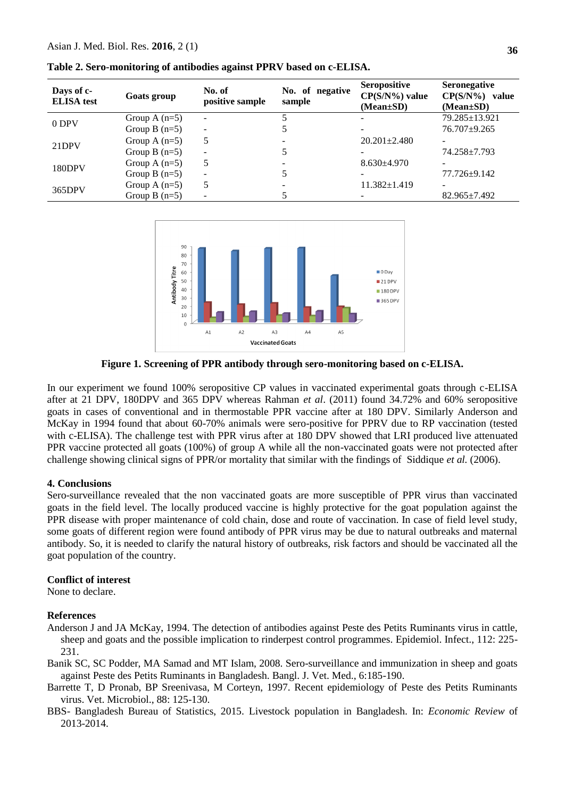| Days of c-<br><b>ELISA</b> test | Goats group     | No. of<br>positive sample | No. of negative<br>sample | <b>Seropositive</b><br>$CP(S/N\%)$ value<br>$(Mean \pm SD)$ | <b>Seronegative</b><br>$CP(S/N\%)$ value<br>(Mean±SD) |
|---------------------------------|-----------------|---------------------------|---------------------------|-------------------------------------------------------------|-------------------------------------------------------|
| $0$ DPV                         | Group A $(n=5)$ | ۰                         |                           |                                                             | 79.285±13.921                                         |
|                                 | Group B $(n=5)$ | -                         |                           |                                                             | $76.707 + 9.265$                                      |
| 21DPV                           | Group A $(n=5)$ |                           |                           | $20.201 + 2.480$                                            |                                                       |
|                                 | Group B $(n=5)$ | -                         |                           |                                                             | 74.258±7.793                                          |
| 180DPV                          | Group A $(n=5)$ |                           |                           | $8.630\pm4.970$                                             |                                                       |
|                                 | Group B $(n=5)$ | -                         |                           |                                                             | 77.726±9.142                                          |
| 365DPV                          | Group A $(n=5)$ |                           |                           | $11.382 \pm 1.419$                                          |                                                       |
|                                 | Group B $(n=5)$ |                           |                           |                                                             | $82.965 \pm 7.492$                                    |

**Table 2. Sero-monitoring of antibodies against PPRV based on c-ELISA.**



**Figure 1. Screening of PPR antibody through sero-monitoring based on c-ELISA.**

In our experiment we found 100% seropositive CP values in vaccinated experimental goats through c-ELISA after at 21 DPV, 180DPV and 365 DPV whereas Rahman *et al*. (2011) found 34.72% and 60% seropositive goats in cases of conventional and in thermostable PPR vaccine after at 180 DPV. Similarly Anderson and McKay in 1994 found that about 60-70% animals were sero-positive for PPRV due to RP vaccination (tested with c-ELISA). The challenge test with PPR virus after at 180 DPV showed that LRI produced live attenuated PPR vaccine protected all goats (100%) of group A while all the non-vaccinated goats were not protected after challenge showing clinical signs of PPR/or mortality that similar with the findings of Siddique *et al.* (2006).

#### **4. Conclusions**

Sero-surveillance revealed that the non vaccinated goats are more susceptible of PPR virus than vaccinated goats in the field level. The locally produced vaccine is highly protective for the goat population against the PPR disease with proper maintenance of cold chain, dose and route of vaccination. In case of field level study, some goats of different region were found antibody of PPR virus may be due to natural outbreaks and maternal antibody. So, it is needed to clarify the natural history of outbreaks, risk factors and should be vaccinated all the goat population of the country.

#### **Conflict of interest**

None to declare.

#### **References**

- Anderson J and JA McKay, 1994. The detection of antibodies against Peste des Petits Ruminants virus in cattle, sheep and goats and the possible implication to rinderpest control programmes. Epidemiol. Infect., 112: 225- 231.
- Banik SC, SC Podder, MA Samad and MT Islam, 2008. Sero-surveillance and immunization in sheep and goats against Peste des Petits Ruminants in Bangladesh. Bangl. J. Vet. Med., 6:185-190.
- Barrette T, D Pronab, BP Sreenivasa, M Corteyn, 1997. Recent epidemiology of Peste des Petits Ruminants virus. Vet. Microbiol., 88: 125-130.
- BBS- Bangladesh Bureau of Statistics, 2015. Livestock population in Bangladesh. In: *Economic Review* of 2013-2014.